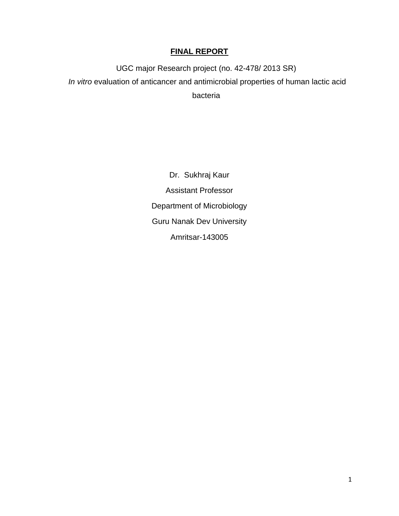# **FINAL REPORT**

UGC major Research project (no. 42-478/ 2013 SR) *In vitro* evaluation of anticancer and antimicrobial properties of human lactic acid bacteria

> Dr. Sukhraj Kaur Assistant Professor Department of Microbiology Guru Nanak Dev University Amritsar-143005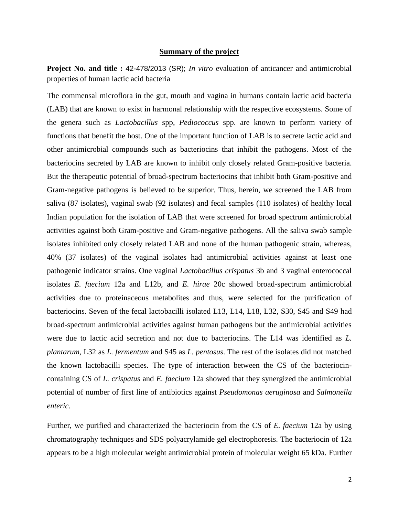#### **Summary of the project**

**Project No. and title :** 42-478/2013 (SR); *In vitro* evaluation of anticancer and antimicrobial properties of human lactic acid bacteria

The commensal microflora in the gut, mouth and vagina in humans contain lactic acid bacteria (LAB) that are known to exist in harmonal relationship with the respective ecosystems. Some of the genera such as *Lactobacillus* spp, *Pediococcus* spp. are known to perform variety of functions that benefit the host. One of the important function of LAB is to secrete lactic acid and other antimicrobial compounds such as bacteriocins that inhibit the pathogens. Most of the bacteriocins secreted by LAB are known to inhibit only closely related Gram-positive bacteria. But the therapeutic potential of broad-spectrum bacteriocins that inhibit both Gram-positive and Gram-negative pathogens is believed to be superior. Thus, herein, we screened the LAB from saliva (87 isolates), vaginal swab (92 isolates) and fecal samples (110 isolates) of healthy local Indian population for the isolation of LAB that were screened for broad spectrum antimicrobial activities against both Gram-positive and Gram-negative pathogens. All the saliva swab sample isolates inhibited only closely related LAB and none of the human pathogenic strain, whereas, 40% (37 isolates) of the vaginal isolates had antimicrobial activities against at least one pathogenic indicator strains. One vaginal *Lactobacillus crispatus* 3b and 3 vaginal enterococcal isolates *E. faecium* 12a and L12b, and *E. hirae* 20c showed broad-spectrum antimicrobial activities due to proteinaceous metabolites and thus, were selected for the purification of bacteriocins. Seven of the fecal lactobacilli isolated L13, L14, L18, L32, S30, S45 and S49 had broad-spectrum antimicrobial activities against human pathogens but the antimicrobial activities were due to lactic acid secretion and not due to bacteriocins. The L14 was identified as *L. plantarum*, L32 as *L. fermentum* and S45 as *L. pentosus*. The rest of the isolates did not matched the known lactobacilli species. The type of interaction between the CS of the bacteriocincontaining CS of *L. crispatus* and *E. faecium* 12a showed that they synergized the antimicrobial potential of number of first line of antibiotics against *Pseudomonas aeruginosa* and *Salmonella enteric*.

Further, we purified and characterized the bacteriocin from the CS of *E. faecium* 12a by using chromatography techniques and SDS polyacrylamide gel electrophoresis. The bacteriocin of 12a appears to be a high molecular weight antimicrobial protein of molecular weight 65 kDa. Further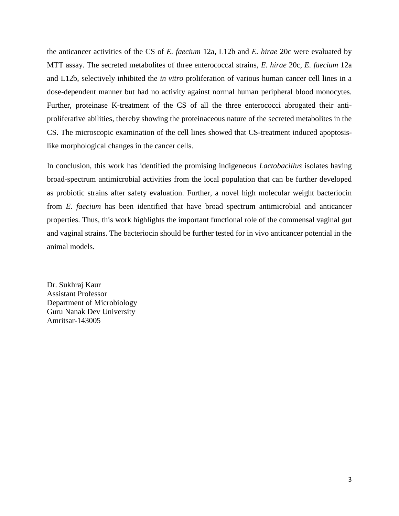the anticancer activities of the CS of *E. faecium* 12a, L12b and *E. hirae* 20c were evaluated by MTT assay. The secreted metabolites of three enterococcal strains, *E. hirae* 20c, *E. faecium* 12a and L12b, selectively inhibited the *in vitro* proliferation of various human cancer cell lines in a dose-dependent manner but had no activity against normal human peripheral blood monocytes. Further, proteinase K-treatment of the CS of all the three enterococci abrogated their antiproliferative abilities, thereby showing the proteinaceous nature of the secreted metabolites in the CS. The microscopic examination of the cell lines showed that CS-treatment induced apoptosislike morphological changes in the cancer cells.

In conclusion, this work has identified the promising indigeneous *Lactobacillus* isolates having broad-spectrum antimicrobial activities from the local population that can be further developed as probiotic strains after safety evaluation. Further, a novel high molecular weight bacteriocin from *E. faecium* has been identified that have broad spectrum antimicrobial and anticancer properties. Thus, this work highlights the important functional role of the commensal vaginal gut and vaginal strains. The bacteriocin should be further tested for in vivo anticancer potential in the animal models.

Dr. Sukhraj Kaur Assistant Professor Department of Microbiology Guru Nanak Dev University Amritsar-143005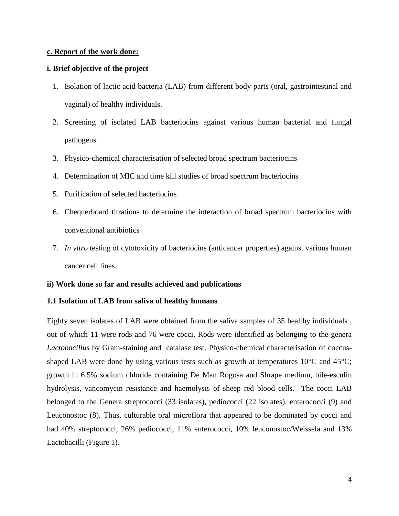### **c. Report of the work done:**

## **i. Brief objective of the project**

- 1. Isolation of lactic acid bacteria (LAB) from different body parts (oral, gastrointestinal and vaginal) of healthy individuals.
- 2. Screening of isolated LAB bacteriocins against various human bacterial and fungal pathogens.
- 3. Physico-chemical characterisation of selected broad spectrum bacteriocins
- 4. Determination of MIC and time kill studies of broad spectrum bacteriocins
- 5. Purification of selected bacteriocins
- 6. Chequerboard titrations to determine the interaction of broad spectrum bacteriocins with conventional antibiotics
- 7. *In vitro* testing of cytotoxicity of bacteriocins (anticancer properties) against various human cancer cell lines.

#### **ii) Work done so far and results achieved and publications**

#### **1.1 Isolation of LAB from saliva of healthy humans**

Eighty seven isolates of LAB were obtained from the saliva samples of 35 healthy individuals , out of which 11 were rods and 76 were cocci. Rods were identified as belonging to the genera *Lactobacillus* by Gram-staining and catalase test. Physico-chemical characterisation of coccusshaped LAB were done by using various tests such as growth at temperatures 10<sup>o</sup>C and 45<sup>o</sup>C; growth in 6.5% sodium chloride containing De Man Rogosa and Shrape medium, bile-esculin hydrolysis, vancomycin resistance and haemolysis of sheep red blood cells. The cocci LAB belonged to the Genera streptococci (33 isolates), pediococci (22 isolates), enterococci (9) and Leuconostoc (8). Thus, culturable oral microflora that appeared to be dominated by cocci and had 40% streptococci, 26% pediococci, 11% enterococci, 10% leuconostoc/Weissela and 13% Lactobacilli (Figure 1).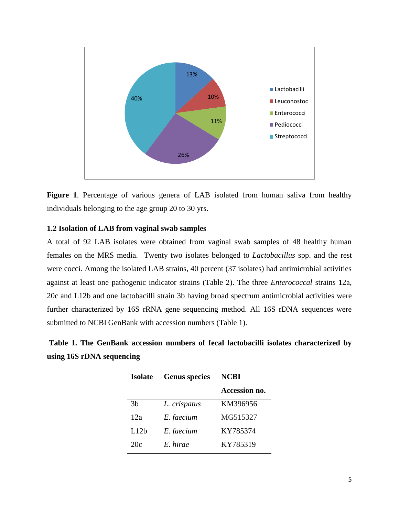

**Figure 1**. Percentage of various genera of LAB isolated from human saliva from healthy individuals belonging to the age group 20 to 30 yrs.

## **1.2 Isolation of LAB from vaginal swab samples**

A total of 92 LAB isolates were obtained from vaginal swab samples of 48 healthy human females on the MRS media. Twenty two isolates belonged to *Lactobacillus* spp. and the rest were cocci. Among the isolated LAB strains, 40 percent (37 isolates) had antimicrobial activities against at least one pathogenic indicator strains (Table 2). The three *Enterococcal* strains 12a, 20c and L12b and one lactobacilli strain 3b having broad spectrum antimicrobial activities were further characterized by 16S rRNA gene sequencing method. All 16S rDNA sequences were submitted to NCBI GenBank with accession numbers (Table 1).

**Table 1. The GenBank accession numbers of fecal lactobacilli isolates characterized by using 16S rDNA sequencing**

| <b>Isolate</b>   | <b>Genus</b> species | NCBI          |
|------------------|----------------------|---------------|
|                  |                      | Accession no. |
| 3 <sub>b</sub>   | L. crispatus         | KM396956      |
| 12a              | E. faecium           | MG515327      |
| L12 <sub>b</sub> | E. faecium           | KY785374      |
| 20c              | E hirae              | KY785319      |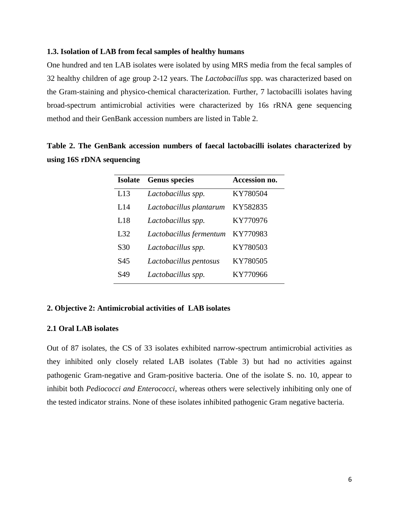#### **1.3. Isolation of LAB from fecal samples of healthy humans**

One hundred and ten LAB isolates were isolated by using MRS media from the fecal samples of 32 healthy children of age group 2-12 years. The *Lactobacillus* spp. was characterized based on the Gram-staining and physico-chemical characterization. Further, 7 lactobacilli isolates having broad-spectrum antimicrobial activities were characterized by 16s rRNA gene sequencing method and their GenBank accession numbers are listed in Table 2.

|  |                           |  |  | Table 2. The GenBank accession numbers of faecal lactobacilli isolates characterized by |  |
|--|---------------------------|--|--|-----------------------------------------------------------------------------------------|--|
|  | using 16S rDNA sequencing |  |  |                                                                                         |  |

| <b>Isolate</b>  | <b>Genus</b> species    | Accession no. |
|-----------------|-------------------------|---------------|
| L13             | Lactobacillus spp.      | KY780504      |
| L14             | Lactobacillus plantarum | KY582835      |
| L18             | Lactobacillus spp.      | KY770976      |
| L32             | Lactobacillus fermentum | KY770983      |
| S <sub>30</sub> | Lactobacillus spp.      | KY780503      |
| S45             | Lactobacillus pentosus  | KY780505      |
| S49             | Lactobacillus spp.      | KY770966      |

## **2. Objective 2: Antimicrobial activities of LAB isolates**

### **2.1 Oral LAB isolates**

Out of 87 isolates, the CS of 33 isolates exhibited narrow-spectrum antimicrobial activities as they inhibited only closely related LAB isolates (Table 3) but had no activities against pathogenic Gram-negative and Gram-positive bacteria. One of the isolate S. no. 10, appear to inhibit both *Pediococci and Enterococci*, whereas others were selectively inhibiting only one of the tested indicator strains. None of these isolates inhibited pathogenic Gram negative bacteria.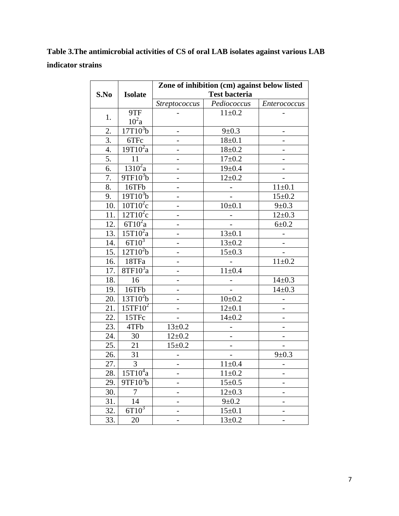**Table 3.The antimicrobial activities of CS of oral LAB isolates against various LAB indicator strains**

|                  |                      |                          | Zone of inhibition (cm) against below listed |                          |
|------------------|----------------------|--------------------------|----------------------------------------------|--------------------------|
| S.No             | <b>Isolate</b>       |                          | <b>Test bacteria</b>                         |                          |
|                  |                      | <b>Streptococcus</b>     | Pediococcus                                  | Enterococcus             |
|                  | 9TF                  |                          | $11 \pm 0.2$                                 |                          |
| 1.               | $10^2$ a             |                          |                                              |                          |
| 2.               | 17T10 <sup>3</sup> b | -                        | $9 \pm 0.3$                                  | -                        |
| $\overline{3}$ . | 6TFc                 |                          | $18 + 0.1$                                   |                          |
| $\overline{4}$ . | $19T10^2a$           | -                        | $18 + 0.2$                                   |                          |
| 5.               | 11                   | -                        | $17 + 0.2$                                   | -                        |
| 6.               | $1310^2$ a           |                          | $19 \pm 0.4$                                 |                          |
| 7.               | $9TF10^3b$           | $\overline{a}$           | $12 \pm 0.2$                                 |                          |
| 8.               | 16TFb                | $\overline{a}$           |                                              | $11 \pm 0.1$             |
| 9.               | $19T10^{3}b$         |                          |                                              | $15 \pm 0.2$             |
| 10.              | $10T10^2c$           | $\overline{\phantom{a}}$ | 10 <sub>±</sub> 0.1                          | $9 \pm 0.3$              |
| 11.              | $12T10^2c$           |                          |                                              | $12 \pm 0.3$             |
| 12.              | $6T10^2a$            |                          |                                              | $6 + 0.2$                |
| 13.              | $15T10^2a$           |                          | $13 \pm 0.1$                                 |                          |
| 14.              | $6T10^3$             |                          | $13 \pm 0.2$                                 |                          |
| 15.              | $12T10^2b$           | $\overline{a}$           | $15 \pm 0.3$                                 | $\overline{\phantom{0}}$ |
| 16.              | 18TFa                |                          |                                              | $11 \pm 0.2$             |
| 17.              | $8TF10^3a$           |                          | $11\pm0.4$                                   |                          |
| 18.              | 16                   |                          |                                              | $14 \pm 0.3$             |
| 19.              | 16TFb                |                          |                                              | $14 \pm 0.3$             |
| 20.              | $13T10^2b$           | $\overline{a}$           | $10 \pm 0.2$                                 |                          |
| 21.              | $15TF10^2$           | -                        | $12 \pm 0.1$                                 |                          |
| 22.              | 15TFc                |                          | $14 \pm 0.2$                                 |                          |
| 23.              | 4TFb                 | $13 \pm 0.2$             |                                              |                          |
| 24.              | 30                   | $12 + 0.2$               | $\frac{1}{2}$                                |                          |
| 25.              | 21                   | $15 \pm 0.2$             |                                              |                          |
| 26.              | 31                   |                          |                                              | $9 \pm 0.3$              |
| 27.              | $\mathfrak{Z}$       |                          | $11 \pm 0.4$                                 |                          |
| 28.              | $15T10^4a$           | -                        | $11 \pm 0.2$                                 |                          |
| 29.              | $9TF10^3b$           |                          | $15 \pm 0.5$                                 |                          |
| 30.              | $\tau$               | -                        | $12 \pm 0.3$                                 |                          |
| 31.              | 14                   | -                        | $9 \pm 0.2$                                  |                          |
| 32.              | $6T10^3$             |                          | $15 \pm 0.1$                                 |                          |
| 33.              | 20                   | $\overline{\phantom{a}}$ | $13 \pm 0.2$                                 | $\overline{\phantom{a}}$ |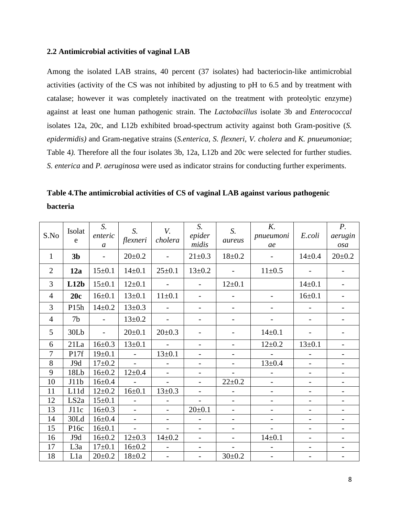#### **2.2 Antimicrobial activities of vaginal LAB**

Among the isolated LAB strains, 40 percent (37 isolates) had bacteriocin-like antimicrobial activities (activity of the CS was not inhibited by adjusting to pH to 6.5 and by treatment with catalase; however it was completely inactivated on the treatment with proteolytic enzyme) against at least one human pathogenic strain. The *Lactobacillus* isolate 3b and *Enterococcal* isolates 12a, 20c, and L12b exhibited broad-spectrum activity against both Gram-positive (*S. epidermidis)* and Gram-negative strains (*S.enterica, S. flexneri, V. cholera* and *K. pnueumoniae*; Table 4*).* Therefore all the four isolates 3b, 12a, L12b and 20c were selected for further studies. *S. enterica* and *P. aeruginosa* were used as indicator strains for conducting further experiments.

**Table 4.The antimicrobial activities of CS of vaginal LAB against various pathogenic bacteria**

| S.No           | Isolat<br>e      | S.<br>enteric<br>$\mathfrak{a}$ | $S_{\cdot}$<br>flexneri | V.<br>cholera            | S.<br>epider<br>midis    | S.<br>aureus             | K.<br>pnueumoni<br>ae    | E.coli                   | $P_{\cdot}$<br>aerugin<br>osa |
|----------------|------------------|---------------------------------|-------------------------|--------------------------|--------------------------|--------------------------|--------------------------|--------------------------|-------------------------------|
| $\mathbf{1}$   | 3 <sub>b</sub>   | $\overline{\phantom{0}}$        | $20 \pm 0.2$            | $\overline{\phantom{a}}$ | $21 \pm 0.3$             | $18 + 0.2$               | $\overline{\phantom{a}}$ | $14 \pm 0.4$             | $20 \pm 0.2$                  |
| $\overline{2}$ | 12a              | $15 \pm 0.1$                    | $14 \pm 0.1$            | $25 \pm 0.1$             | $13 \pm 0.2$             | $\overline{a}$           | $11 \pm 0.5$             |                          |                               |
| 3              | L12b             | $15 \pm 0.1$                    | $12 \pm 0.1$            |                          |                          | $12 \pm 0.1$             |                          | $14 \pm 0.1$             |                               |
| $\overline{4}$ | 20c              | $16 \pm 0.1$                    | $13 \pm 0.1$            | $11 \pm 0.1$             |                          |                          |                          | $16 \pm 0.1$             |                               |
| 3              | P15h             | $14 \pm 0.2$                    | $13 \pm 0.3$            | $\overline{a}$           |                          | $\overline{\phantom{a}}$ |                          |                          |                               |
| $\overline{4}$ | 7b               |                                 | $13 \pm 0.2$            | $\overline{\phantom{0}}$ |                          |                          |                          |                          |                               |
| 5              | 30Lb             | $\overline{a}$                  | $20 \pm 0.1$            | $20 \pm 0.3$             |                          |                          | $14 \pm 0.1$             |                          |                               |
| 6              | 21La             | $16 \pm 0.3$                    | $13 \pm 0.1$            | $\overline{a}$           |                          | $\overline{a}$           | $12 \pm 0.2$             | $13 \pm 0.1$             | $\overline{\phantom{0}}$      |
| 7              | P17f             | $19 \pm 0.1$                    | $\blacksquare$          | $13 \pm 0.1$             | $\overline{a}$           |                          | $\blacksquare$           | $\overline{a}$           |                               |
| 8              | J9d              | $17+0.2$                        | $\sim$                  |                          | $\overline{\phantom{0}}$ | $\qquad \qquad -$        | $13 \pm 0.4$             | $\overline{a}$           | $\overline{\phantom{a}}$      |
| 9              | 18Lb             | $16 + 0.2$                      | $12 \pm 0.4$            | $\overline{\phantom{a}}$ | $\overline{\phantom{0}}$ |                          | $\blacksquare$           | $\overline{\phantom{0}}$ | $\overline{\phantom{0}}$      |
| 10             | J11b             | $16 + 0.4$                      | $\overline{a}$          | $\qquad \qquad -$        | $\overline{\phantom{0}}$ | $22 \pm 0.2$             | $\overline{\phantom{a}}$ | $\overline{\phantom{a}}$ | $\overline{\phantom{0}}$      |
| 11             | L11d             | $12 + 0.2$                      | $16 \pm 0.1$            | $13 \pm 0.3$             |                          |                          | $\qquad \qquad -$        |                          |                               |
| 12             | LS <sub>2a</sub> | $15 \pm 0.1$                    | $\overline{a}$          |                          |                          |                          | $\overline{\phantom{0}}$ |                          |                               |
| 13             | J11c             | $16 \pm 0.3$                    |                         | $\qquad \qquad -$        | $20 \pm 0.1$             |                          |                          |                          |                               |
| 14             | 30Ld             | $16 \pm 0.4$                    | $\overline{a}$          |                          |                          |                          | $\overline{a}$           |                          |                               |
| 15             | P <sub>16c</sub> | $16 \pm 0.1$                    | $\overline{a}$          |                          |                          |                          |                          |                          |                               |
| 16             | J9d              | $16 + 0.2$                      | $12 \pm 0.3$            | $14 \pm 0.2$             | $\overline{a}$           | $\overline{\phantom{0}}$ | $14 \pm 0.1$             | $\overline{a}$           | $\overline{a}$                |
| 17             | L <sub>3</sub> a | $17+0.1$                        | $16 + 0.2$              | $\overline{a}$           | $\overline{\phantom{0}}$ | $\overline{\phantom{a}}$ | $\overline{\phantom{0}}$ | $\overline{\phantom{0}}$ | $\overline{\phantom{0}}$      |
| 18             | L1a              | $20 \pm 0.2$                    | $18 + 0.2$              | $\frac{1}{2}$            | $\overline{\phantom{a}}$ | $30 \pm 0.2$             | $\overline{\phantom{a}}$ | $\overline{\phantom{0}}$ | $\overline{\phantom{0}}$      |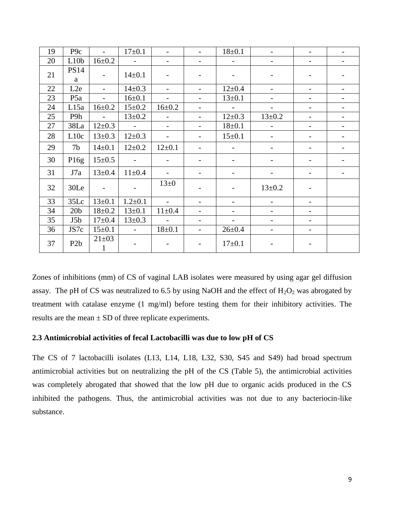| 19 | P <sub>9c</sub>  | $\equiv$                    | $17+0.1$       |                          |                          | $18 + 0.1$               |                          |                          |  |
|----|------------------|-----------------------------|----------------|--------------------------|--------------------------|--------------------------|--------------------------|--------------------------|--|
| 20 | L10 <sub>b</sub> | $16 + 0.2$                  | $\sim$         |                          |                          |                          |                          | $\overline{\phantom{0}}$ |  |
| 21 | <b>PS14</b><br>a | $\overline{\phantom{a}}$    | $14 \pm 0.1$   |                          |                          |                          | $\overline{\phantom{a}}$ |                          |  |
| 22 | L2e              | $\overline{a}$              | $14 \pm 0.3$   | $\overline{\phantom{0}}$ | $\overline{\phantom{a}}$ | $12 \pm 0.4$             | $\overline{\phantom{a}}$ | $\overline{\phantom{0}}$ |  |
| 23 | P <sub>5</sub> a | $\overline{\phantom{0}}$    | $16 \pm 0.1$   |                          |                          | $13 \pm 0.1$             |                          |                          |  |
| 24 | L15a             | $16 + 0.2$                  | $15 \pm 0.2$   | $16 \pm 0.2$             |                          | $\sim$                   | $\overline{\phantom{a}}$ | $\overline{\phantom{0}}$ |  |
| 25 | P9h              | $\mathbb{L}^+$              | $13 \pm 0.2$   | $\overline{a}$           |                          | $12 \pm 0.3$             | $13 \pm 0.2$             | $\overline{\phantom{0}}$ |  |
| 27 | 38La             | $12 \pm 0.3$                | $\sim$         | $\overline{\phantom{0}}$ |                          | $18 + 0.1$               | $\overline{\phantom{0}}$ | $\overline{\phantom{0}}$ |  |
| 28 | L10c             | $13 \pm 0.3$                | $12 \pm 0.3$   | $\overline{\phantom{a}}$ |                          | $15 \pm 0.1$             | $\overline{\phantom{0}}$ |                          |  |
| 29 | 7 <sub>b</sub>   | $14 \pm 0.1$                | $12 \pm 0.2$   | $12 \pm 0.1$             |                          |                          | $\overline{\phantom{a}}$ |                          |  |
| 30 | P16g             | $15 \pm 0.5$                | $\blacksquare$ | $\overline{\phantom{a}}$ |                          |                          |                          |                          |  |
| 31 | J7a              | $13 \pm 0.4$                | $11 \pm 0.4$   |                          |                          |                          |                          |                          |  |
| 32 | 30Le             | $\blacksquare$              |                | $13\pm0$                 |                          |                          | $13 \pm 0.2$             |                          |  |
| 33 | 35Lc             | $13 \pm 0.1$                | $1.2 \pm 0.1$  | $\overline{a}$           |                          | $\overline{\phantom{0}}$ | $\overline{\phantom{0}}$ | $\overline{\phantom{0}}$ |  |
| 34 | 20 <sub>b</sub>  | $18 + 0.2$                  | $13 \pm 0.1$   | $11 \pm 0.4$             |                          |                          |                          |                          |  |
| 35 | J5 <sub>b</sub>  | $17 + 0.4$                  | $13 \pm 0.3$   | $\equiv$                 |                          | $\overline{\phantom{0}}$ | $\overline{\phantom{a}}$ | $\overline{\phantom{0}}$ |  |
| 36 | JS7c             | $15 \pm 0.1$                | $\sim$         | $18 \pm 0.1$             | $\blacksquare$           | $26 \pm 0.4$             | $\overline{\phantom{a}}$ | $\overline{a}$           |  |
| 37 | P <sub>2</sub> b | $21 \pm 03$<br>$\mathbf{1}$ |                |                          |                          | $17 \pm 0.1$             |                          |                          |  |

Zones of inhibitions (mm) of CS of vaginal LAB isolates were measured by using agar gel diffusion assay. The pH of CS was neutralized to 6.5 by using NaOH and the effect of  $H_2O_2$  was abrogated by treatment with catalase enzyme (1 mg/ml) before testing them for their inhibitory activities. The results are the mean  $\pm$  SD of three replicate experiments.

## **2.3 Antimicrobial activities of fecal Lactobacilli was due to low pH of CS**

The CS of 7 lactobacilli isolates (L13, L14, L18, L32, S30, S45 and S49) had broad spectrum antimicrobial activities but on neutralizing the pH of the CS (Table 5), the antimicrobial activities was completely abrogated that showed that the low pH due to organic acids produced in the CS inhibited the pathogens. Thus, the antimicrobial activities was not due to any bacteriocin-like substance.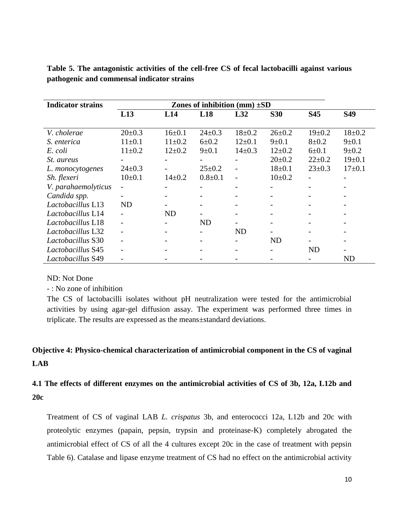| <b>Indicator strains</b> |                |                          | Zones of inhibition (mm) $\pm SD$ |                          |                          |              |              |
|--------------------------|----------------|--------------------------|-----------------------------------|--------------------------|--------------------------|--------------|--------------|
|                          | L13            | L14                      | L18                               | L32                      | <b>S30</b>               | S45          | <b>S49</b>   |
|                          |                |                          |                                   |                          |                          |              |              |
| V. cholerae              | $20 \pm 0.3$   | $16 \pm 0.1$             | $24 \pm 0.3$                      | $18 + 0.2$               | $26 \pm 0.2$             | $19 \pm 0.2$ | $18 \pm 0.2$ |
| <i>S. enterica</i>       | $11 \pm 0.1$   | $11 \pm 0.2$             | $6 \pm 0.2$                       | $12 \pm 0.1$             | $9 \pm 0.1$              | $8 + 0.2$    | $9 \pm 0.1$  |
| E. coli                  | $11 \pm 0.2$   | $12 \pm 0.2$             | $9 \pm 0.1$                       | $14 \pm 0.3$             | $12\pm0.2$               | $6 + 0.1$    | $9 \pm 0.2$  |
| <i>St. aureus</i>        |                |                          |                                   |                          | $20 \pm 0.2$             | $22 \pm 0.2$ | $19 \pm 0.1$ |
| L. monocytogenes         | $24 \pm 0.3$   |                          | $25 \pm 0.2$                      |                          | $18 \pm 0.1$             | $23 \pm 0.3$ | $17 \pm 0.1$ |
| Sh. flexeri              | $10\pm 0.1$    | $14\pm0.2$               | $0.8 + 0.1$                       | $\overline{\phantom{a}}$ | $10\pm 0.2$              |              |              |
| V. parahaemolyticus      | $\overline{a}$ | $\overline{\phantom{a}}$ | -                                 |                          | $\overline{\phantom{a}}$ |              |              |
| Candida spp.             |                |                          |                                   |                          |                          |              |              |
| Lactobacillus L13        | <b>ND</b>      |                          | $\overline{\phantom{a}}$          |                          |                          |              |              |
| Lactobacillus L14        |                | <b>ND</b>                | $\overline{\phantom{0}}$          |                          |                          |              |              |
| Lactobacillus L18        |                |                          | <b>ND</b>                         |                          |                          |              |              |
| Lactobacillus L32        |                |                          |                                   | <b>ND</b>                |                          |              |              |
| Lactobacillus S30        |                |                          |                                   |                          | ND                       |              |              |
| Lactobacillus S45        |                |                          |                                   |                          |                          | ND           |              |
| Lactobacillus S49        |                |                          |                                   |                          |                          |              | ND           |

**Table 5. The antagonistic activities of the cell-free CS of fecal lactobacilli against various pathogenic and commensal indicator strains**

# ND: Not Done

- : No zone of inhibition

The CS of lactobacilli isolates without pH neutralization were tested for the antimicrobial activities by using agar-gel diffusion assay. The experiment was performed three times in triplicate. The results are expressed as the means±standard deviations.

# **Objective 4: Physico-chemical characterization of antimicrobial component in the CS of vaginal LAB**

# **4.1 The effects of different enzymes on the antimicrobial activities of CS of 3b, 12a, L12b and 20c**

Treatment of CS of vaginal LAB *L. crispatus* 3b, and enterococci 12a, L12b and 20c with proteolytic enzymes (papain, pepsin, trypsin and proteinase-K) completely abrogated the antimicrobial effect of CS of all the 4 cultures except 20c in the case of treatment with pepsin Table 6). Catalase and lipase enzyme treatment of CS had no effect on the antimicrobial activity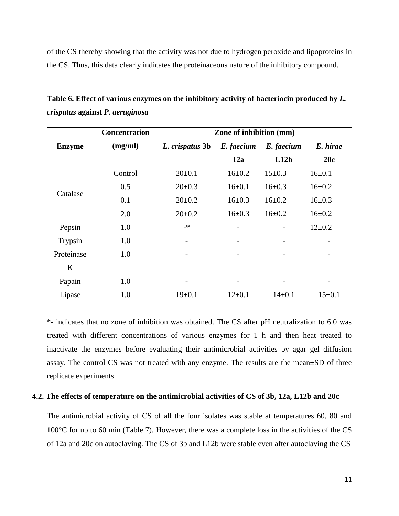of the CS thereby showing that the activity was not due to hydrogen peroxide and lipoproteins in the CS. Thus, this data clearly indicates the proteinaceous nature of the inhibitory compound.

|               | <b>Concentration</b> | Zone of inhibition (mm)      |                          |              |              |  |  |
|---------------|----------------------|------------------------------|--------------------------|--------------|--------------|--|--|
| <b>Enzyme</b> | (mg/ml)              | L. crispatus 3b              | E. faecium               | E. faecium   | E. hirae     |  |  |
|               |                      |                              | 12a                      | L12b         | 20c          |  |  |
|               | Control              | $20 \pm 0.1$                 | $16\pm0.2$               | $15 \pm 0.3$ | $16 \pm 0.1$ |  |  |
|               | 0.5                  | $20 \pm 0.3$                 | $16 \pm 0.1$             | $16 \pm 0.3$ | $16 \pm 0.2$ |  |  |
| Catalase      | 0.1                  | $20 \pm 0.2$                 | $16 \pm 0.3$             | $16 \pm 0.2$ | $16 \pm 0.3$ |  |  |
|               | 2.0                  | $20 \pm 0.2$                 | $16 \pm 0.3$             | $16\pm0.2$   | $16 \pm 0.2$ |  |  |
| Pepsin        | 1.0                  | $\overline{\phantom{a}}$     |                          |              | $12 \pm 0.2$ |  |  |
| Trypsin       | 1.0                  | $\qquad \qquad \blacksquare$ |                          |              |              |  |  |
| Proteinase    | 1.0                  |                              |                          |              |              |  |  |
| K             |                      |                              |                          |              |              |  |  |
| Papain        | 1.0                  |                              | $\overline{\phantom{a}}$ |              | -            |  |  |
| Lipase        | 1.0                  | $19 \pm 0.1$                 | $12\pm0.1$               | $14 \pm 0.1$ | $15 \pm 0.1$ |  |  |

**Table 6. Effect of various enzymes on the inhibitory activity of bacteriocin produced by** *L. crispatus* **against** *P. aeruginosa*

\*- indicates that no zone of inhibition was obtained. The CS after pH neutralization to 6.0 was treated with different concentrations of various enzymes for 1 h and then heat treated to inactivate the enzymes before evaluating their antimicrobial activities by agar gel diffusion assay. The control CS was not treated with any enzyme. The results are the mean±SD of three replicate experiments.

#### **4.2. The effects of temperature on the antimicrobial activities of CS of 3b, 12a, L12b and 20c**

The antimicrobial activity of CS of all the four isolates was stable at temperatures 60, 80 and  $100^{\circ}$ C for up to 60 min (Table 7). However, there was a complete loss in the activities of the CS of 12a and 20c on autoclaving. The CS of 3b and L12b were stable even after autoclaving the CS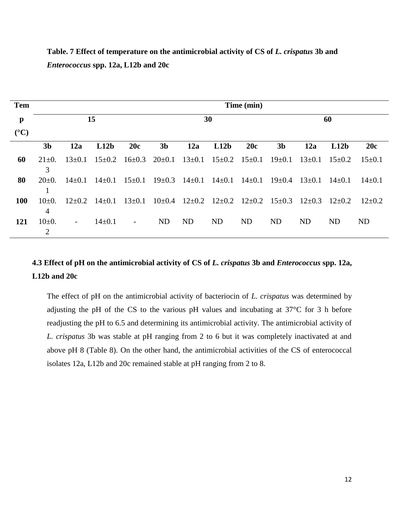| <b>Tem</b>      |                              |                          |                       |                          |                |              |            | Time (min)            |                |              |            |              |
|-----------------|------------------------------|--------------------------|-----------------------|--------------------------|----------------|--------------|------------|-----------------------|----------------|--------------|------------|--------------|
| p               |                              |                          | 15                    |                          |                |              | 30         |                       |                |              | 60         |              |
| $({}^{\circ}C)$ | 3 <sub>b</sub>               | 12a                      | L12b                  | 20c                      | 3 <sub>b</sub> | 12a          | L12b       | 20c                   | 3 <sub>b</sub> | 12a          | L12b       | 20c          |
| 60              | $21 \pm 0.$<br>3             | $13 \pm 0.1$             | $15 \pm 0.2$          | $16 \pm 0.3$             | $20 \pm 0.1$   | $13 \pm 0.1$ |            | $15\pm0.2$ $15\pm0.1$ | $19 \pm 0.1$   | $13 \pm 0.1$ | $15\pm0.2$ | $15 \pm 0.1$ |
| 80              | $20\pm 0.$                   | $14 \pm 0.1$             | $14\pm0.1$            | $15 \pm 0.1$             | $19 \pm 0.3$   | $14 \pm 0.1$ | $14\pm0.1$ | $14 \pm 0.1$          | $19 \pm 0.4$   | $13 \pm 0.1$ | $14\pm0.1$ | $14\pm 0.1$  |
| 100             | $10+0.$<br>4                 |                          | $12\pm0.2$ $14\pm0.1$ | $13 \pm 0.1$             | $10\pm0.4$     | $12 \pm 0.2$ |            | $12\pm0.2$ $12\pm0.2$ | $15 \pm 0.3$   | $12\pm0.3$   | $12\pm0.2$ | $12\pm0.2$   |
| 121             | $10\pm 0.$<br>$\overline{2}$ | $\overline{\phantom{a}}$ | $14 \pm 0.1$          | $\overline{\phantom{a}}$ | ND             | <b>ND</b>    | <b>ND</b>  | <b>ND</b>             | <b>ND</b>      | <b>ND</b>    | <b>ND</b>  | <b>ND</b>    |

**Table. 7 Effect of temperature on the antimicrobial activity of CS of** *L. crispatus* **3b and**  *Enterococcus* **spp. 12a, L12b and 20c** 

# **4.3 Effect of pH on the antimicrobial activity of CS of** *L. crispatus* **3b and** *Enterococcus* **spp. 12a, L12b and 20c**

The effect of pH on the antimicrobial activity of bacteriocin of *L. crispatus* was determined by adjusting the pH of the CS to the various pH values and incubating at 37°C for 3 h before readjusting the pH to 6.5 and determining its antimicrobial activity. The antimicrobial activity of *L. crispatus* 3b was stable at pH ranging from 2 to 6 but it was completely inactivated at and above pH 8 (Table 8). On the other hand, the antimicrobial activities of the CS of enterococcal isolates 12a, L12b and 20c remained stable at pH ranging from 2 to 8.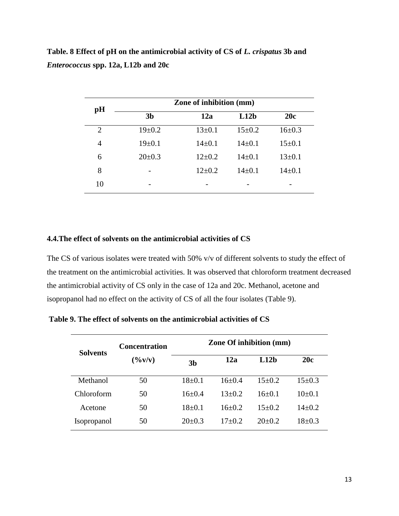**Table. 8 Effect of pH on the antimicrobial activity of CS of** *L. crispatus* **3b and**  *Enterococcus* **spp. 12a, L12b and 20c** 

| pH | Zone of inhibition (mm) |              |              |              |  |  |  |  |
|----|-------------------------|--------------|--------------|--------------|--|--|--|--|
|    | 3 <sub>b</sub>          | 12a          | L12b         | 20c          |  |  |  |  |
| 2  | $19 \pm 0.2$            | $13 \pm 0.1$ | $15 \pm 0.2$ | $16 \pm 0.3$ |  |  |  |  |
| 4  | 19±0.1                  | $14\pm0.1$   | $14\pm0.1$   | $15 \pm 0.1$ |  |  |  |  |
| 6  | $20 \pm 0.3$            | $12\pm0.2$   | $14\pm0.1$   | $13 \pm 0.1$ |  |  |  |  |
| 8  |                         | $12\pm0.2$   | $14 \pm 0.1$ | $14\pm 0.1$  |  |  |  |  |
| 10 |                         |              |              |              |  |  |  |  |

## **4.4.The effect of solvents on the antimicrobial activities of CS**

The CS of various isolates were treated with 50% v/v of different solvents to study the effect of the treatment on the antimicrobial activities. It was observed that chloroform treatment decreased the antimicrobial activity of CS only in the case of 12a and 20c. Methanol, acetone and isopropanol had no effect on the activity of CS of all the four isolates (Table 9).

**Table 9. The effect of solvents on the antimicrobial activities of CS**

| <b>Solvents</b>    | <b>Concentration</b> |                | <b>Zone Of inhibition (mm)</b> |                  |          |  |  |  |
|--------------------|----------------------|----------------|--------------------------------|------------------|----------|--|--|--|
|                    | $(\frac{6}{v})$      | 3 <sub>b</sub> | 12a                            | L12 <sub>b</sub> | 20c      |  |  |  |
| Methanol           | 50                   | $18+0.1$       | $16+0.4$                       | $15+0.2$         | $15+0.3$ |  |  |  |
| Chloroform         | 50                   | $16+0.4$       | $13+0.2$                       | $16+0.1$         | $10+0.1$ |  |  |  |
| Acetone            | 50                   | $18+0.1$       | $16+0.2$                       | $15+0.2$         | $14+0.2$ |  |  |  |
| <b>Isopropanol</b> | 50                   | $20+0.3$       | $17+0.2$                       | $20+0.2$         | $18+0.3$ |  |  |  |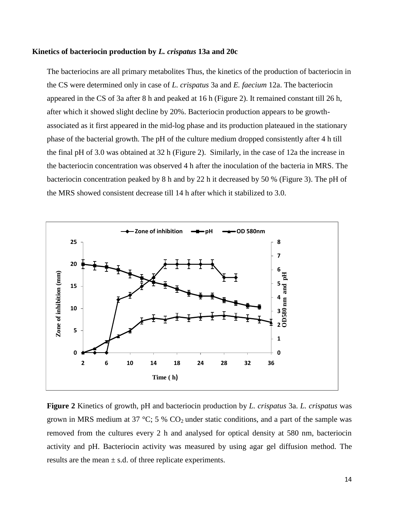#### **Kinetics of bacteriocin production by** *L. crispatus* **13a and 20c**

The bacteriocins are all primary metabolites Thus, the kinetics of the production of bacteriocin in the CS were determined only in case of *L. crispatus* 3a and *E. faecium* 12a. The bacteriocin appeared in the CS of 3a after 8 h and peaked at 16 h (Figure 2). It remained constant till 26 h, after which it showed slight decline by 20%. Bacteriocin production appears to be growthassociated as it first appeared in the mid-log phase and its production plateaued in the stationary phase of the bacterial growth. The pH of the culture medium dropped consistently after 4 h till the final pH of 3.0 was obtained at 32 h (Figure 2). Similarly, in the case of 12a the increase in the bacteriocin concentration was observed 4 h after the inoculation of the bacteria in MRS. The bacteriocin concentration peaked by 8 h and by 22 h it decreased by 50 % (Figure 3). The pH of the MRS showed consistent decrease till 14 h after which it stabilized to 3.0.



**Figure 2** Kinetics of growth, pH and bacteriocin production by *L. crispatus* 3a. *L. crispatus* was grown in MRS medium at 37 °C; 5 %  $CO<sub>2</sub>$  under static conditions, and a part of the sample was removed from the cultures every 2 h and analysed for optical density at 580 nm, bacteriocin activity and pH. Bacteriocin activity was measured by using agar gel diffusion method. The results are the mean  $\pm$  s.d. of three replicate experiments.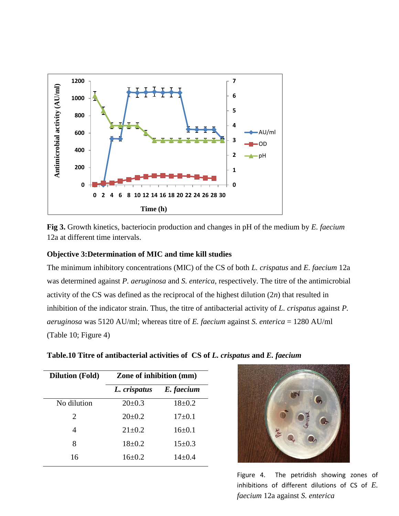

**Fig 3.** Growth kinetics, bacteriocin production and changes in pH of the medium by *E. faecium* 12a at different time intervals.

## **Objective 3:Determination of MIC and time kill studies**

The minimum inhibitory concentrations (MIC) of the CS of both *L. crispatus* and *E. faecium* 12a was determined against *P. aeruginosa* and *S. enterica*, respectively. The titre of the antimicrobial activity of the CS was defined as the reciprocal of the highest dilution (2*n*) that resulted in inhibition of the indicator strain. Thus, the titre of antibacterial activity of *L. crispatus* against *P. aeruginosa* was 5120 AU/ml; whereas titre of *E. faecium* against *S. enterica* = 1280 AU/ml (Table 10; Figure 4)

| <b>Dilution (Fold)</b> | <b>Zone of inhibition (mm)</b> |              |  |  |
|------------------------|--------------------------------|--------------|--|--|
|                        | L. crispatus                   | E. faecium   |  |  |
| No dilution            | $20 \pm 0.3$                   | $18 + 0.2$   |  |  |
| 2                      | $20 \pm 0.2$                   | $17\pm0.1$   |  |  |
| 4                      | $21 \pm 0.2$                   | $16 \pm 0.1$ |  |  |
| 8                      | $18+0.2$                       | $15 \pm 0.3$ |  |  |
| 16                     | $16\pm0.2$                     | $14\pm0.4$   |  |  |

**Table.10 Titre of antibacterial activities of CS of** *L. crispatus* **and** *E. faecium*



15 inhibitions of different dilutions of CS of *E.*  Figure 4. The petridish showing zones of *faecium* 12a against *S. enterica*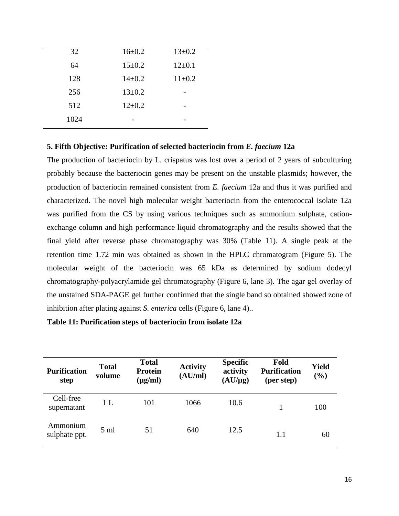| 32   | $16 \pm 0.2$ | $13 \pm 0.2$ |
|------|--------------|--------------|
| 64   | $15 \pm 0.2$ | $12 \pm 0.1$ |
| 128  | $14 \pm 0.2$ | $11 \pm 0.2$ |
| 256  | $13 \pm 0.2$ |              |
| 512  | $12\pm0.2$   |              |
| 1024 |              |              |
|      |              |              |

## **5. Fifth Objective: Purification of selected bacteriocin from** *E. faecium* **12a**

The production of bacteriocin by L. crispatus was lost over a period of 2 years of subculturing probably because the bacteriocin genes may be present on the unstable plasmids; however, the production of bacteriocin remained consistent from *E. faecium* 12a and thus it was purified and characterized. The novel high molecular weight bacteriocin from the enterococcal isolate 12a was purified from the CS by using various techniques such as ammonium sulphate, cationexchange column and high performance liquid chromatography and the results showed that the final yield after reverse phase chromatography was 30% (Table 11). A single peak at the retention time 1.72 min was obtained as shown in the HPLC chromatogram (Figure 5). The molecular weight of the bacteriocin was 65 kDa as determined by sodium dodecyl chromatography-polyacrylamide gel chromatography (Figure 6, lane 3). The agar gel overlay of the unstained SDA-PAGE gel further confirmed that the single band so obtained showed zone of inhibition after plating against *S. enterica* cells (Figure 6, lane 4)..

### **Table 11: Purification steps of bacteriocin from isolate 12a**

| <b>Purification</b><br>step | <b>Total</b><br>volume | <b>Total</b><br><b>Protein</b><br>$(\mu g/ml)$ | <b>Activity</b><br>(AU/ml) | <b>Specific</b><br>activity<br>$(AU/\mu g)$ | Fold<br><b>Purification</b><br>(per step) | Yield<br>(%) |
|-----------------------------|------------------------|------------------------------------------------|----------------------------|---------------------------------------------|-------------------------------------------|--------------|
| Cell-free<br>supernatant    | 1 <sub>L</sub>         | 101                                            | 1066                       | 10.6                                        |                                           | 100          |
| Ammonium<br>sulphate ppt.   | $5 \text{ ml}$         | 51                                             | 640                        | 12.5                                        | 1.1                                       | 60           |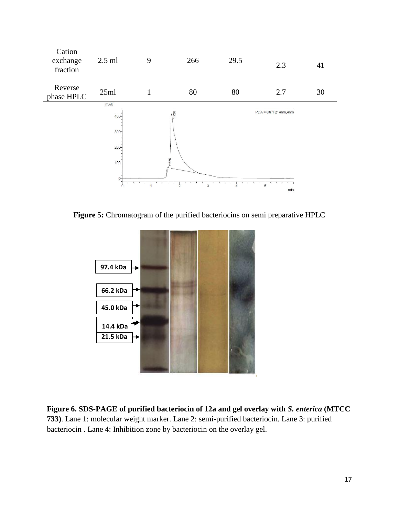

**Figure 5:** Chromatogram of the purified bacteriocins on semi preparative HPLC



**Figure 6. SDS-PAGE of purified bacteriocin of 12a and gel overlay with** *S. enterica* **(MTCC 733)**. Lane 1: molecular weight marker. Lane 2: semi-purified bacteriocin. Lane 3: purified bacteriocin . Lane 4: Inhibition zone by bacteriocin on the overlay gel.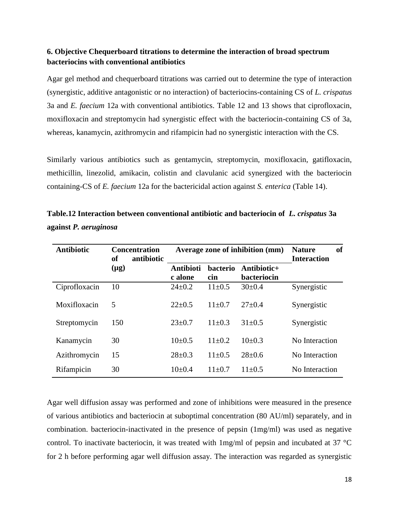# **6. Objective Chequerboard titrations to determine the interaction of broad spectrum bacteriocins with conventional antibiotics**

Agar gel method and chequerboard titrations was carried out to determine the type of interaction (synergistic, additive antagonistic or no interaction) of bacteriocins-containing CS of *L. crispatus* 3a and *E. faecium* 12a with conventional antibiotics. Table 12 and 13 shows that ciprofloxacin, moxifloxacin and streptomycin had synergistic effect with the bacteriocin-containing CS of 3a, whereas, kanamycin, azithromycin and rifampicin had no synergistic interaction with the CS.

Similarly various antibiotics such as gentamycin, streptomycin, moxifloxacin, gatifloxacin, methicillin, linezolid, amikacin, colistin and clavulanic acid synergized with the bacteriocin containing-CS of *E. faecium* 12a for the bactericidal action against *S. enterica* (Table 14).

| <b>Antibiotic</b> | <b>Concentration</b><br><b>of</b><br>antibiotic | Average zone of inhibition (mm) |                 |                            | <b>of</b><br><b>Nature</b><br><b>Interaction</b> |
|-------------------|-------------------------------------------------|---------------------------------|-----------------|----------------------------|--------------------------------------------------|
|                   | $(\mu g)$                                       | <b>Antibioti</b><br>c alone     | bacterio<br>cin | Antibiotic+<br>bacteriocin |                                                  |
| Ciprofloxacin     | 10                                              | $24 \pm 0.2$                    | $11 \pm 0.5$    | $30 \pm 0.4$               | Synergistic                                      |
| Moxifloxacin      | 5                                               | $22 \pm 0.5$                    | $11 \pm 0.7$    | $27 \pm 0.4$               | Synergistic                                      |
| Streptomycin      | 150                                             | $23 \pm 0.7$                    | $11 \pm 0.3$    | $31 \pm 0.5$               | Synergistic                                      |
| Kanamycin         | 30                                              | $10\pm 0.5$                     | $11\pm0.2$      | $10\pm 0.3$                | No Interaction                                   |
| Azithromycin      | 15                                              | $28 \pm 0.3$                    | $11 \pm 0.5$    | $28 \pm 0.6$               | No Interaction                                   |
| Rifampicin        | 30                                              | $10\pm 0.4$                     | $11+0.7$        | $11 \pm 0.5$               | No Interaction                                   |

**Table.12 Interaction between conventional antibiotic and bacteriocin of** *L. crispatus* **3a against** *P. aeruginosa*

Agar well diffusion assay was performed and zone of inhibitions were measured in the presence of various antibiotics and bacteriocin at suboptimal concentration (80 AU/ml) separately, and in combination. bacteriocin-inactivated in the presence of pepsin (1mg/ml) was used as negative control. To inactivate bacteriocin, it was treated with 1mg/ml of pepsin and incubated at 37 °C for 2 h before performing agar well diffusion assay. The interaction was regarded as synergistic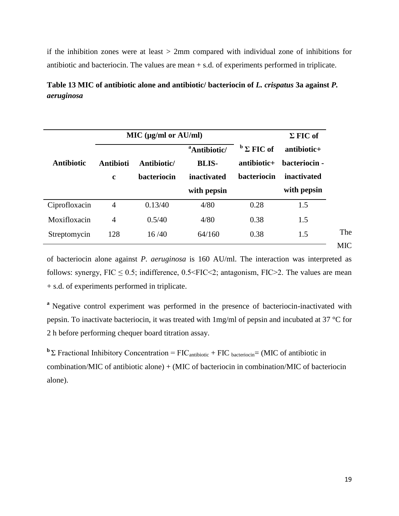if the inhibition zones were at least  $> 2$ mm compared with individual zone of inhibitions for antibiotic and bacteriocin. The values are mean + s.d. of experiments performed in triplicate.

**Table 13 MIC of antibiotic alone and antibiotic/ bacteriocin of** *L. crispatus* **3a against** *P. aeruginosa*

|                   |                                 | MIC (µg/ml or AU/ml)       |                                                                        |                                                 | $\Sigma$ FIC of                                              |
|-------------------|---------------------------------|----------------------------|------------------------------------------------------------------------|-------------------------------------------------|--------------------------------------------------------------|
| <b>Antibiotic</b> | <b>Antibioti</b><br>$\mathbf c$ | Antibiotic/<br>bacteriocin | <sup>a</sup> Antibiotic/<br><b>BLIS-</b><br>inactivated<br>with pepsin | $b \Sigma$ FIC of<br>antibiotic+<br>bacteriocin | $antibiotic+$<br>bacteriocin -<br>inactivated<br>with pepsin |
| Ciprofloxacin     | 4                               | 0.13/40                    | 4/80                                                                   | 0.28                                            | 1.5                                                          |
| Moxifloxacin      | 4                               | 0.5/40                     | 4/80                                                                   | 0.38                                            | 1.5                                                          |
| Streptomycin      | 128                             | 16/40                      | 64/160                                                                 | 0.38                                            | 1.5                                                          |

of bacteriocin alone against *P. aeruginosa* is 160 AU/ml. The interaction was interpreted as follows: synergy,  $FIC \le 0.5$ ; indifference,  $0.5 \le FIC \le 2$ ; antagonism,  $FIC \ge 2$ . The values are mean + s.d. of experiments performed in triplicate.

<sup>a</sup> Negative control experiment was performed in the presence of bacteriocin-inactivated with pepsin. To inactivate bacteriocin, it was treated with 1mg/ml of pepsin and incubated at 37 °C for 2 h before performing chequer board titration assay.

**b** Σ Fractional Inhibitory Concentration = FIC<sub>antibiotic</sub> + FIC bacteriocin= (MIC of antibiotic in combination/MIC of antibiotic alone) + (MIC of bacteriocin in combination/MIC of bacteriocin alone).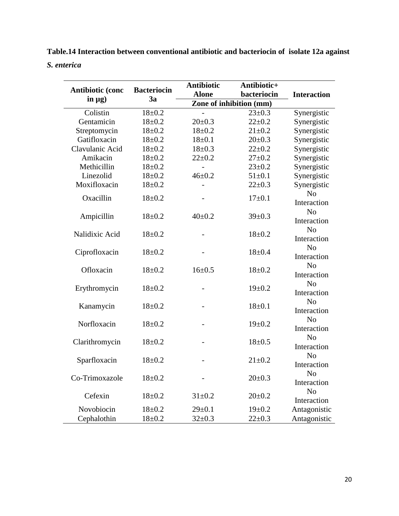**Table.14 Interaction between conventional antibiotic and bacteriocin of isolate 12a against** 

*S. enterica* **Antibiotic Antibiotic+** 

| <b>Antibiotic (conc</b> | <b>Bacteriocin</b> | AMUVIVUU 1               |              |                               |  |  |
|-------------------------|--------------------|--------------------------|--------------|-------------------------------|--|--|
|                         | 3a                 | <b>Alone</b>             | bacteriocin  | <b>Interaction</b>            |  |  |
| in $\mu$ g)             |                    | Zone of inhibition (mm)  |              |                               |  |  |
| Colistin                | $18 + 0.2$         |                          | $23 \pm 0.3$ | Synergistic                   |  |  |
| Gentamicin              | $18 + 0.2$         | $20 \pm 0.3$             | $22 + 0.2$   | Synergistic                   |  |  |
| Streptomycin            | $18 + 0.2$         | $18 + 0.2$               | $21 \pm 0.2$ | Synergistic                   |  |  |
| Gatifloxacin            | $18 + 0.2$         | $18 \pm 0.1$             | $20 \pm 0.3$ | Synergistic                   |  |  |
| Clavulanic Acid         | $18 + 0.2$         | $18 \pm 0.3$             | $22 + 0.2$   | Synergistic                   |  |  |
| Amikacin                | $18 + 0.2$         | $22 \pm 0.2$             | $27 \pm 0.2$ | Synergistic                   |  |  |
| Methicillin             | $18 + 0.2$         | $\overline{\phantom{a}}$ | $23 \pm 0.2$ | Synergistic                   |  |  |
| Linezolid               | $18 + 0.2$         | $46 + 0.2$               | $51 \pm 0.1$ | Synergistic                   |  |  |
| Moxifloxacin            | $18 + 0.2$         |                          | $22 \pm 0.3$ | Synergistic                   |  |  |
| Oxacillin               | $18 + 0.2$         |                          | $17+0.1$     | No<br>Interaction             |  |  |
| Ampicillin              | $18 + 0.2$         | $40 \pm 0.2$             | $39 \pm 0.3$ | N <sub>o</sub><br>Interaction |  |  |
| Nalidixic Acid          | $18 + 0.2$         |                          | $18 + 0.2$   | N <sub>o</sub><br>Interaction |  |  |
| Ciprofloxacin           | $18 + 0.2$         |                          | $18 + 0.4$   | N <sub>o</sub><br>Interaction |  |  |
| Ofloxacin               | $18 + 0.2$         | $16 \pm 0.5$             | $18 + 0.2$   | N <sub>o</sub><br>Interaction |  |  |
| Erythromycin            | $18 + 0.2$         |                          | $19 \pm 0.2$ | N <sub>o</sub><br>Interaction |  |  |
| Kanamycin               | $18 + 0.2$         |                          | $18 + 0.1$   | N <sub>o</sub><br>Interaction |  |  |
| Norfloxacin             | $18 + 0.2$         |                          | $19 \pm 0.2$ | N <sub>o</sub><br>Interaction |  |  |
| Clarithromycin          | $18 + 0.2$         |                          | $18 + 0.5$   | N <sub>o</sub><br>Interaction |  |  |
| Sparfloxacin            | $18 + 0.2$         |                          | $21 \pm 0.2$ | N <sub>o</sub><br>Interaction |  |  |
| Co-Trimoxazole          | $18 + 0.2$         | $\overline{a}$           | $20 \pm 0.3$ | N <sub>o</sub><br>Interaction |  |  |
| Cefexin                 | $18 + 0.2$         | $31 \pm 0.2$             | $20 \pm 0.2$ | N <sub>o</sub><br>Interaction |  |  |
| Novobiocin              | $18 + 0.2$         | $29 \pm 0.1$             | $19 \pm 0.2$ | Antagonistic                  |  |  |
| Cephalothin             | $18 + 0.2$         | $32 \pm 0.3$             | $22 \pm 0.3$ | Antagonistic                  |  |  |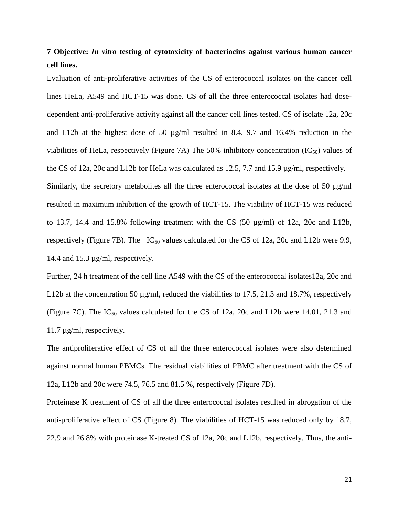# **7 Objective:** *In vitro* **testing of cytotoxicity of bacteriocins against various human cancer cell lines.**

Evaluation of anti-proliferative activities of the CS of enterococcal isolates on the cancer cell lines HeLa, A549 and HCT-15 was done. CS of all the three enterococcal isolates had dosedependent anti-proliferative activity against all the cancer cell lines tested. CS of isolate 12a, 20c and L12b at the highest dose of 50 µg/ml resulted in 8.4, 9.7 and 16.4% reduction in the viabilities of HeLa, respectively (Figure 7A) The 50% inhibitory concentration  $(IC_{50})$  values of the CS of 12a, 20c and L12b for HeLa was calculated as 12.5, 7.7 and 15.9 µg/ml, respectively. Similarly, the secretory metabolites all the three enterococcal isolates at the dose of 50  $\mu$ g/ml resulted in maximum inhibition of the growth of HCT-15. The viability of HCT-15 was reduced to 13.7, 14.4 and 15.8% following treatment with the CS (50 µg/ml) of 12a, 20c and L12b,

respectively (Figure 7B). The  $IC_{50}$  values calculated for the CS of 12a, 20c and L12b were 9.9, 14.4 and 15.3 µg/ml, respectively.

Further, 24 h treatment of the cell line A549 with the CS of the enterococcal isolates12a, 20c and L12b at the concentration 50  $\mu$ g/ml, reduced the viabilities to 17.5, 21.3 and 18.7%, respectively (Figure 7C). The  $IC_{50}$  values calculated for the CS of 12a, 20c and L12b were 14.01, 21.3 and 11.7 µg/ml, respectively.

The antiproliferative effect of CS of all the three enterococcal isolates were also determined against normal human PBMCs. The residual viabilities of PBMC after treatment with the CS of 12a, L12b and 20c were 74.5, 76.5 and 81.5 %, respectively (Figure 7D).

Proteinase K treatment of CS of all the three enterococcal isolates resulted in abrogation of the anti-proliferative effect of CS (Figure 8). The viabilities of HCT-15 was reduced only by 18.7, 22.9 and 26.8% with proteinase K-treated CS of 12a, 20c and L12b, respectively. Thus, the anti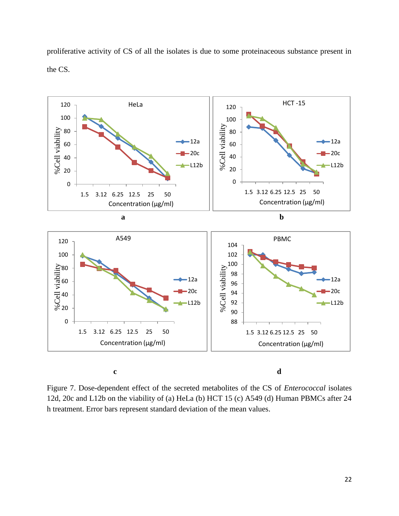proliferative activity of CS of all the isolates is due to some proteinaceous substance present in the CS.



Figure 7. Dose-dependent effect of the secreted metabolites of the CS of *Enterococcal* isolates 12d, 20c and L12b on the viability of (a) HeLa (b) HCT 15 (c) A549 (d) Human PBMCs after 24 h treatment. Error bars represent standard deviation of the mean values.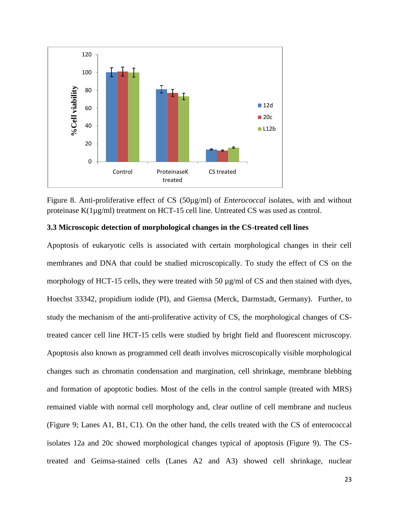

Figure 8. Anti-proliferative effect of CS (50µg/ml) of *Enterococcal* isolates, with and without proteinase K(1µg/ml) treatment on HCT-15 cell line. Untreated CS was used as control.

### **3.3 Microscopic detection of morphological changes in the CS-treated cell lines**

Apoptosis of eukaryotic cells is associated with certain morphological changes in their cell membranes and DNA that could be studied microscopically. To study the effect of CS on the morphology of HCT-15 cells, they were treated with 50  $\mu$ g/ml of CS and then stained with dyes, Hoechst 33342, propidium iodide (PI), and Giemsa (Merck, Darmstadt, Germany). Further, to study the mechanism of the anti-proliferative activity of CS, the morphological changes of CStreated cancer cell line HCT-15 cells were studied by bright field and fluorescent microscopy. Apoptosis also known as programmed cell death involves microscopically visible morphological changes such as chromatin condensation and margination, cell shrinkage, membrane blebbing and formation of apoptotic bodies. Most of the cells in the control sample (treated with MRS) remained viable with normal cell morphology and, clear outline of cell membrane and nucleus (Figure 9; Lanes A1, B1, C1). On the other hand, the cells treated with the CS of enterococcal isolates 12a and 20c showed morphological changes typical of apoptosis (Figure 9). The CStreated and Geimsa-stained cells (Lanes A2 and A3) showed cell shrinkage, nuclear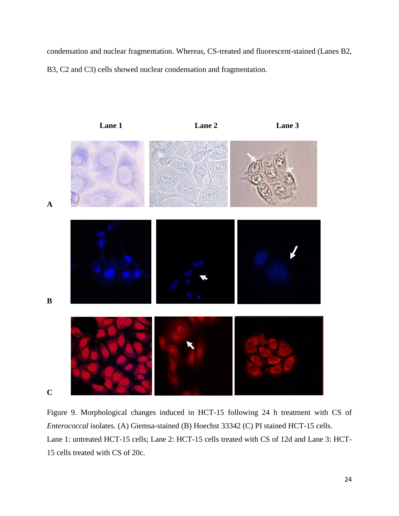condensation and nuclear fragmentation. Whereas, CS-treated and fluorescent-stained (Lanes B2, B3, C2 and C3) cells showed nuclear condensation and fragmentation.



Figure 9. Morphological changes induced in HCT-15 following 24 h treatment with CS of *Enterococcal* isolates. (A) Giemsa-stained (B) Hoechst 33342 (C) PI stained HCT-15 cells. Lane 1: untreated HCT-15 cells; Lane 2: HCT-15 cells treated with CS of 12d and Lane 3: HCT-15 cells treated with CS of 20c.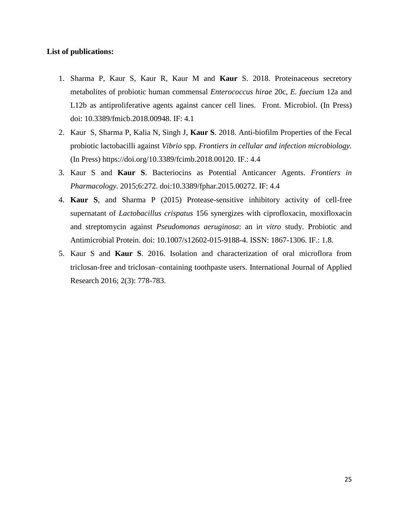### **List of publications:**

- 1. Sharma P, Kaur S, Kaur R, Kaur M and **Kaur** S. 2018. Proteinaceous secretory metabolites of probiotic human commensal *Enterococcus hirae* 20c, *E. faecium* 12a and L12b as antiproliferative agents against cancer cell lines. Front. Microbiol. (In Press) doi: 10.3389/fmicb.2018.00948. IF: 4.1
- 2. Kaur S, Sharma P, Kalia N, Singh J, **Kaur S**. 2018. Anti-biofilm Properties of the Fecal probiotic lactobacilli against *Vibrio* spp. *Frontiers in cellular and infection microbiology.* (In Press) [https://doi.org/10.3389/fcimb.2018.00120.](https://doi.org/10.3389/fcimb.2018.00120) IF.: 4.4
- 3. Kaur S and **Kaur S**. Bacteriocins as Potential Anticancer Agents. *Frontiers in Pharmacology*. 2015;6:272. doi:10.3389/fphar.2015.00272. IF: 4.4
- 4. **Kaur S**, and Sharma P (2015) Protease-sensitive inhibitory activity of cell-free supernatant of *Lactobacillus crispatus* 156 synergizes with ciprofloxacin, moxifloxacin and streptomycin against *Pseudomonas aeruginosa*: an i*n vitro* study. Probiotic and Antimicrobial Protein. doi: 10.1007/s12602-015-9188-4. ISSN: 1867-1306. IF.: 1.8.
- 5. Kaur S and **Kaur S**. 2016. Isolation and characterization of oral microflora from triclosan-free and triclosan–containing toothpaste users. International Journal of Applied Research 2016; 2(3): 778-783.